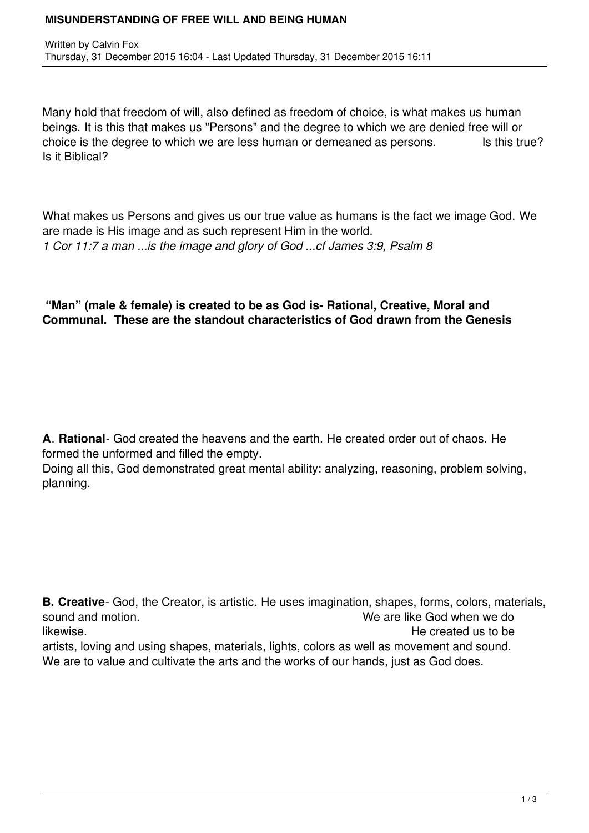## **MISUNDERSTANDING OF FREE WILL AND BEING HUMAN**

Many hold that freedom of will, also defined as freedom of choice, is what makes us human beings. It is this that makes us "Persons" and the degree to which we are denied free will or choice is the degree to which we are less human or demeaned as persons. Is this true? Is it Biblical?

What makes us Persons and gives us our true value as humans is the fact we image God. We are made is His image and as such represent Him in the world. *1 Cor 11:7 a man ...is the image and glory of God ...cf James 3:9, Psalm 8*

## **"Man" (male & female) is created to be as God is- Rational, Creative, Moral and Communal. These are the standout characteristics of God drawn from the Genesis**

**A**. **Rational**- God created the heavens and the earth. He created order out of chaos. He formed the unformed and filled the empty.

Doing all this, God demonstrated great mental ability: analyzing, reasoning, problem solving, planning.

**B. Creative**- God, the Creator, is artistic. He uses imagination, shapes, forms, colors, materials, sound and motion. We are like God when we do likewise. The created us to be a set of the created us to be a set of the created us to be a set of the created us to be a set of the created us to be a set of the created us to be a set of the created us to be a set of th artists, loving and using shapes, materials, lights, colors as well as movement and sound. We are to value and cultivate the arts and the works of our hands, just as God does.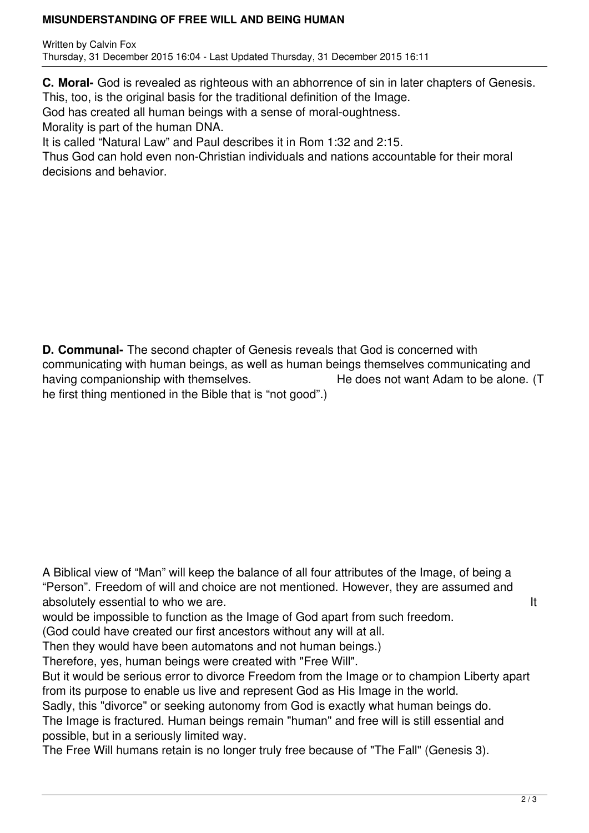## **MISUNDERSTANDING OF FREE WILL AND BEING HUMAN**

Written by Calvin Fox Thursday, 31 December 2015 16:04 - Last Updated Thursday, 31 December 2015 16:11

**C. Moral-** God is revealed as righteous with an abhorrence of sin in later chapters of Genesis. This, too, is the original basis for the traditional definition of the Image.

God has created all human beings with a sense of moral-oughtness.

Morality is part of the human DNA.

It is called "Natural Law" and Paul describes it in Rom 1:32 and 2:15.

Thus God can hold even non-Christian individuals and nations accountable for their moral decisions and behavior.

**D. Communal-** The second chapter of Genesis reveals that God is concerned with communicating with human beings, as well as human beings themselves communicating and having companionship with themselves. He does not want Adam to be alone. (T he first thing mentioned in the Bible that is "not good".)

A Biblical view of "Man" will keep the balance of all four attributes of the Image, of being a "Person". Freedom of will and choice are not mentioned. However, they are assumed and absolutely essential to who we are. It is a set of the set of the set of the set of the set of the set of the set of the set of the set of the set of the set of the set of the set of the set of the set of the set of the se

would be impossible to function as the Image of God apart from such freedom.

(God could have created our first ancestors without any will at all.

Then they would have been automatons and not human beings.)

Therefore, yes, human beings were created with "Free Will".

But it would be serious error to divorce Freedom from the Image or to champion Liberty apart from its purpose to enable us live and represent God as His Image in the world.

Sadly, this "divorce" or seeking autonomy from God is exactly what human beings do.

The Image is fractured. Human beings remain "human" and free will is still essential and possible, but in a seriously limited way.

The Free Will humans retain is no longer truly free because of "The Fall" (Genesis 3).